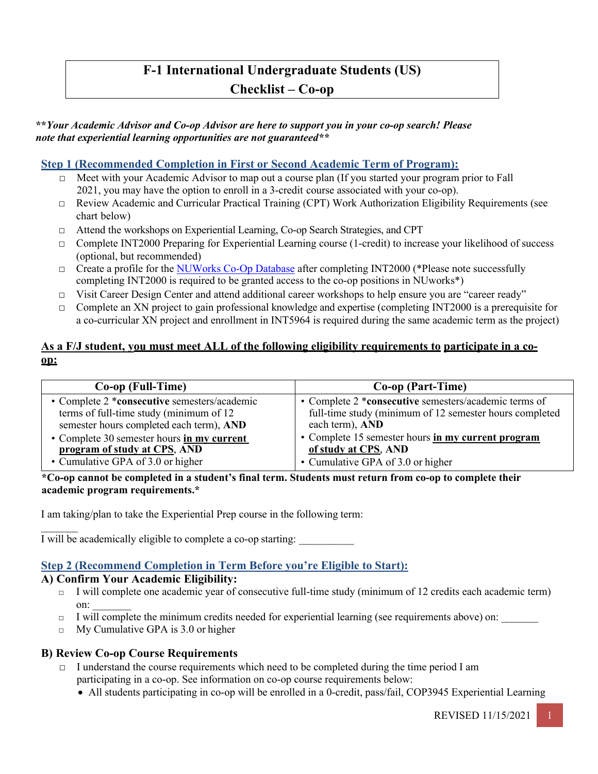# **F-1 International Undergraduate Students (US)**

### **Checklist – Co-op**

#### **\*\****Your Academic Advisor and Co-op Advisor are here to support you in your co-op search! Please note that experiential learning opportunities are not guaranteed\*\**

#### **Step 1 (Recommended Completion in First or Second Academic Term of Program):**

- □ Meet with your Academic Advisor to map out a course plan (If you started your program prior to Fall 2021, you may have the option to enroll in a 3-credit course associated with your co-op).
- $\Box$  Review Academic and Curricular Practical Training (CPT) Work Authorization Eligibility Requirements (see chart below)
- □ Attend the workshops on Experiential Learning, Co-op Search Strategies, and CPT
- $\Box$  Complete INT2000 Preparing for Experiential Learning course (1-credit) to increase your likelihood of success (optional, but recommended)
- □ Create a profile for the NUWorks Co-Op Database after completing INT2000 (\*Please note successfully completing INT2000 is required to be granted access to the co-op positions in NUworks\*)
- $\Box$  Visit Career Design Center and attend additional career workshops to help ensure you are "career ready"
- □ Complete an XN project to gain professional knowledge and expertise (completing INT2000 is a prerequisite for a co-curricular XN project and enrollment in INT5964 is required during the same academic term as the project)

#### **As a F/J student, you must meet ALL of the following eligibility requirements to participate in a coop:**

| Co-op (Full-Time)                            | Co-op (Part-Time)                                       |
|----------------------------------------------|---------------------------------------------------------|
| • Complete 2 *consecutive semesters/academic | • Complete 2 *consecutive semesters/academic terms of   |
| terms of full-time study (minimum of 12      | full-time study (minimum of 12 semester hours completed |
| semester hours completed each term), AND     | each term), AND                                         |
| • Complete 30 semester hours in my current   | • Complete 15 semester hours in my current program      |
| program of study at CPS, AND                 | of study at CPS, AND                                    |
| • Cumulative GPA of 3.0 or higher            | • Cumulative GPA of 3.0 or higher                       |

**\*Co-op cannot be completed in a student's final term. Students must return from co-op to complete their academic program requirements.\***

I am taking/plan to take the Experiential Prep course in the following term:

 $\mathcal{L}_\text{max}$ I will be academically eligible to complete a co-op starting:

#### **Step 2 (Recommend Completion in Term Before you're Eligible to Start):**

#### **A) Confirm Your Academic Eligibility:**

- □ I will complete one academic year of consecutive full-time study (minimum of 12 credits each academic term) on:
- □ I will complete the minimum credits needed for experiential learning (see requirements above) on:
- $\Box$  My Cumulative GPA is 3.0 or higher

#### **B) Review Co-op Course Requirements**

- $\Box$  I understand the course requirements which need to be completed during the time period I am participating in a co-op. See information on co-op course requirements below:
	- All students participating in co-op will be enrolled in a 0-credit, pass/fail, COP3945 Experiential Learning